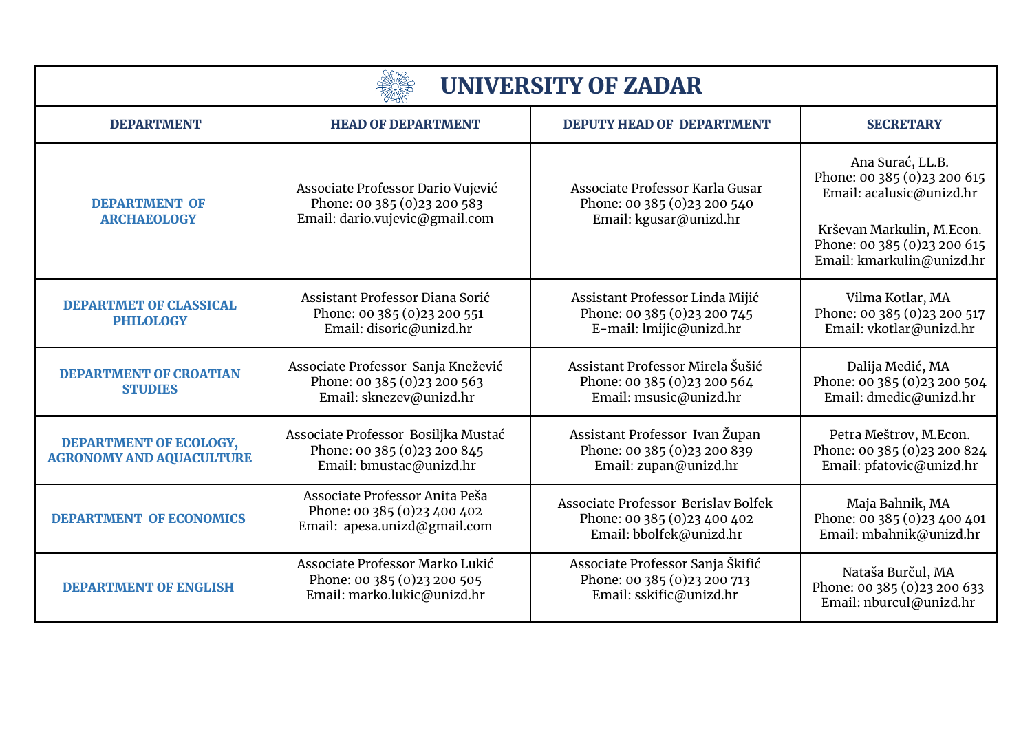| <b>UNIVERSITY OF ZADAR</b>                                |                                                                                                     |                                                                                                |                                                                                       |
|-----------------------------------------------------------|-----------------------------------------------------------------------------------------------------|------------------------------------------------------------------------------------------------|---------------------------------------------------------------------------------------|
| <b>DEPARTMENT</b>                                         | <b>HEAD OF DEPARTMENT</b>                                                                           | <b>DEPUTY HEAD OF DEPARTMENT</b>                                                               | <b>SECRETARY</b>                                                                      |
| <b>DEPARTMENT OF</b><br><b>ARCHAEOLOGY</b>                | Associate Professor Dario Vujević<br>Phone: 00 385 (0) 23 200 583<br>Email: dario.vujevic@gmail.com | Associate Professor Karla Gusar<br>Phone: 00 385 (0)23 200 540<br>Email: kgusar@unizd.hr       | Ana Surać, LL.B.<br>Phone: 00 385 (0) 23 200 615<br>Email: acalusic@unizd.hr          |
|                                                           |                                                                                                     |                                                                                                | Krševan Markulin, M.Econ.<br>Phone: 00 385 (0)23 200 615<br>Email: kmarkulin@unizd.hr |
| <b>DEPARTMET OF CLASSICAL</b><br><b>PHILOLOGY</b>         | Assistant Professor Diana Sorić<br>Phone: 00 385 (0) 23 200 551<br>Email: disoric@unizd.hr          | Assistant Professor Linda Mijić<br>Phone: 00 385 (0) 23 200 745<br>E-mail: lmijic@unizd.hr     | Vilma Kotlar, MA<br>Phone: 00 385 (0)23 200 517<br>Email: vkotlar@unizd.hr            |
| <b>DEPARTMENT OF CROATIAN</b><br><b>STUDIES</b>           | Associate Professor Sanja Knežević<br>Phone: 00 385 (0) 23 200 563<br>Email: sknezev@unizd.hr       | Assistant Professor Mirela Šušić<br>Phone: 00 385 (0) 23 200 564<br>Email: msusic@unizd.hr     | Dalija Medić, MA<br>Phone: 00 385 (0)23 200 504<br>Email: dmedic@unizd.hr             |
| DEPARTMENT OF ECOLOGY,<br><b>AGRONOMY AND AQUACULTURE</b> | Associate Professor Bosiljka Mustać<br>Phone: 00 385 (0) 23 200 845<br>Email: bmustac@unizd.hr      | Assistant Professor Ivan Župan<br>Phone: 00 385 (0) 23 200 839<br>Email: zupan@unizd.hr        | Petra Meštrov, M.Econ.<br>Phone: 00 385 (0) 23 200 824<br>Email: pfatovic@unizd.hr    |
| <b>DEPARTMENT OF ECONOMICS</b>                            | Associate Professor Anita Peša<br>Phone: 00 385 (0)23 400 402<br>Email: apesa.unizd@gmail.com       | Associate Professor Berislav Bolfek<br>Phone: 00 385 (0) 23 400 402<br>Email: bbolfek@unizd.hr | Maja Bahnik, MA<br>Phone: 00 385 (0)23 400 401<br>Email: mbahnik@unizd.hr             |
| <b>DEPARTMENT OF ENGLISH</b>                              | Associate Professor Marko Lukić<br>Phone: 00 385 (0) 23 200 505<br>Email: marko.lukic@unizd.hr      | Associate Professor Sanja Škifić<br>Phone: 00 385 (0)23 200 713<br>Email: sskific@unizd.hr     | Nataša Burčul, MA<br>Phone: 00 385 (0) 23 200 633<br>Email: nburcul@unizd.hr          |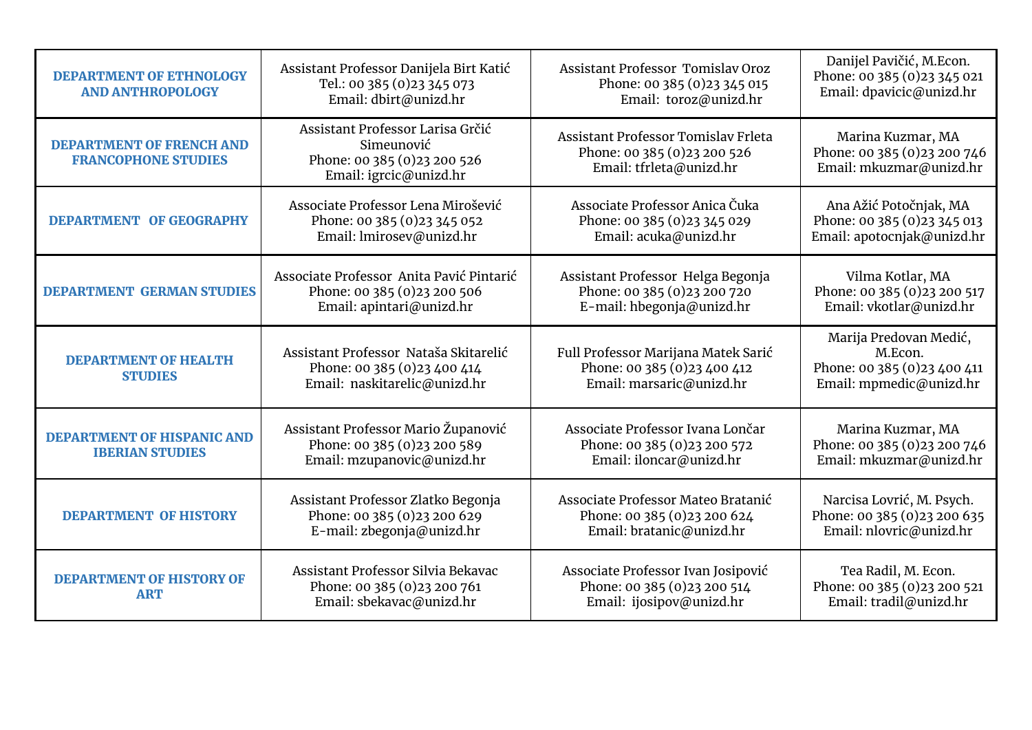| <b>DEPARTMENT OF ETHNOLOGY</b><br><b>AND ANTHROPOLOGY</b>     | Assistant Professor Danijela Birt Katić<br>Tel.: 00 385 (0) 23 345 073<br>Email: dbirt@unizd.hr         | <b>Assistant Professor Tomislay Oroz</b><br>Phone: 00 385 (0) 23 345 015<br>Email: toroz@unizd.hr | Danijel Pavičić, M.Econ.<br>Phone: 00 385 (0) 23 345 021<br>Email: dpavicic@unizd.hr         |
|---------------------------------------------------------------|---------------------------------------------------------------------------------------------------------|---------------------------------------------------------------------------------------------------|----------------------------------------------------------------------------------------------|
| <b>DEPARTMENT OF FRENCH AND</b><br><b>FRANCOPHONE STUDIES</b> | Assistant Professor Larisa Grčić<br>Simeunović<br>Phone: 00 385 (0)23 200 526<br>Email: igrcic@unizd.hr | Assistant Professor Tomislay Frleta<br>Phone: 00 385 (0) 23 200 526<br>Email: tfrleta@unizd.hr    | Marina Kuzmar, MA<br>Phone: 00 385 (0) 23 200 746<br>Email: mkuzmar@unizd.hr                 |
| <b>DEPARTMENT OF GEOGRAPHY</b>                                | Associate Professor Lena Mirošević<br>Phone: 00 385 (0) 23 345 052<br>Email: lmirosev@unizd.hr          | Associate Professor Anica Čuka<br>Phone: 00 385 (0) 23 345 029<br>Email: acuka@unizd.hr           | Ana Ažić Potočnjak, MA<br>Phone: 00 385 (0) 23 345 013<br>Email: apotocnjak@unizd.hr         |
| <b>DEPARTMENT GERMAN STUDIES</b>                              | Associate Professor Anita Pavić Pintarić<br>Phone: 00 385 (0) 23 200 506<br>Email: apintari@unizd.hr    | Assistant Professor Helga Begonja<br>Phone: 00 385 (0) 23 200 720<br>E-mail: hbegonja@unizd.hr    | Vilma Kotlar, MA<br>Phone: 00 385 (0) 23 200 517<br>Email: vkotlar@unizd.hr                  |
| <b>DEPARTMENT OF HEALTH</b><br><b>STUDIES</b>                 | Assistant Professor Nataša Skitarelić<br>Phone: 00 385 (0) 23 400 414<br>Email: naskitarelic@unizd.hr   | Full Professor Marijana Matek Sarić<br>Phone: 00 385 (0)23 400 412<br>Email: marsaric@unizd.hr    | Marija Predovan Medić,<br>M.Econ.<br>Phone: 00 385 (0) 23 400 411<br>Email: mpmedic@unizd.hr |
| DEPARTMENT OF HISPANIC AND<br><b>IBERIAN STUDIES</b>          | Assistant Professor Mario Županović<br>Phone: 00 385 (0) 23 200 589<br>Email: mzupanovic@unizd.hr       | Associate Professor Ivana Lončar<br>Phone: 00 385 (0) 23 200 572<br>Email: iloncar@unizd.hr       | Marina Kuzmar, MA<br>Phone: 00 385 (0) 23 200 746<br>Email: mkuzmar@unizd.hr                 |
| <b>DEPARTMENT OF HISTORY</b>                                  | Assistant Professor Zlatko Begonja<br>Phone: 00 385 (0) 23 200 629<br>E-mail: zbegonja@unizd.hr         | Associate Professor Mateo Bratanić<br>Phone: 00 385 (0)23 200 624<br>Email: bratanic@unizd.hr     | Narcisa Lovrić, M. Psych.<br>Phone: 00 385 (0) 23 200 635<br>Email: nlovric@unizd.hr         |
| <b>DEPARTMENT OF HISTORY OF</b><br><b>ART</b>                 | Assistant Professor Silvia Bekavac<br>Phone: 00 385 (0) 23 200 761<br>Email: sbekavac@unizd.hr          | Associate Professor Ivan Josipović<br>Phone: 00 385 (0)23 200 514<br>Email: ijosipov@unizd.hr     | Tea Radil, M. Econ.<br>Phone: 00 385 (0) 23 200 521<br>Email: tradil@unizd.hr                |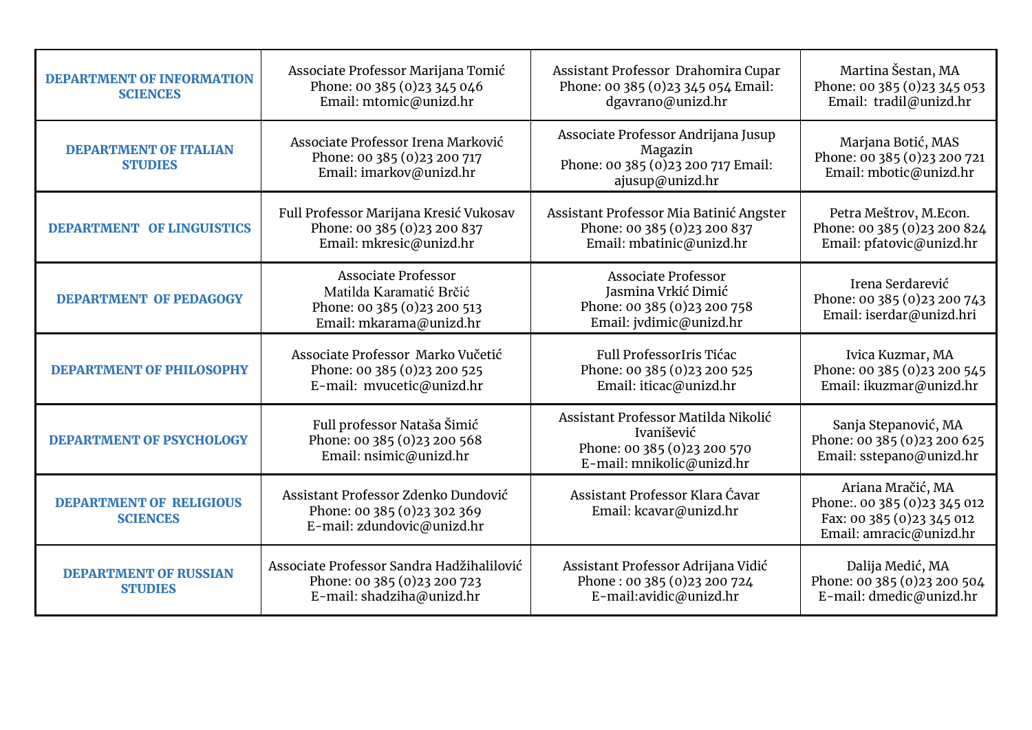| <b>DEPARTMENT OF INFORMATION</b><br><b>SCIENCES</b> | Associate Professor Marijana Tomić<br>Phone: 00 385 (0) 23 345 046<br>Email: mtomic@unizd.hr                     | Assistant Professor Drahomira Cupar<br>Phone: 00 385 (0) 23 345 054 Email:<br>dgavrano@unizd.hr                | Martina Šestan, MA<br>Phone: 00 385 (0) 23 345 053<br>Email: tradil@unizd.hr                               |
|-----------------------------------------------------|------------------------------------------------------------------------------------------------------------------|----------------------------------------------------------------------------------------------------------------|------------------------------------------------------------------------------------------------------------|
| <b>DEPARTMENT OF ITALIAN</b><br><b>STUDIES</b>      | Associate Professor Irena Marković<br>Phone: 00 385 (0)23 200 717<br>Email: imarkov@unizd.hr                     | Associate Professor Andrijana Jusup<br>Magazin<br>Phone: 00 385 (0) 23 200 717 Email:<br>ajusup@unizd.hr       | Marjana Botić, MAS<br>Phone: 00 385 (0)23 200 721<br>Email: mbotic@unizd.hr                                |
| <b>DEPARTMENT OF LINGUISTICS</b>                    | Full Professor Marijana Kresić Vukosav<br>Phone: 00 385 (0) 23 200 837<br>Email: mkresic@unizd.hr                | Assistant Professor Mia Batinić Angster<br>Phone: 00 385 (0)23 200 837<br>Email: mbatinic@unizd.hr             | Petra Meštrov, M.Econ.<br>Phone: 00 385 (0) 23 200 824<br>Email: pfatovic@unizd.hr                         |
| <b>DEPARTMENT OF PEDAGOGY</b>                       | <b>Associate Professor</b><br>Matilda Karamatić Brčić<br>Phone: 00 385 (0) 23 200 513<br>Email: mkarama@unizd.hr | <b>Associate Professor</b><br>Jasmina Vrkić Dimić<br>Phone: 00 385 (0)23 200 758<br>Email: jvdimic@unizd.hr    | Irena Serdarević<br>Phone: 00 385 (0) 23 200 743<br>Email: iserdar@unizd.hri                               |
| <b>DEPARTMENT OF PHILOSOPHY</b>                     | Associate Professor Marko Vučetić<br>Phone: 00 385 (0) 23 200 525<br>E-mail: mvucetic@unizd.hr                   | Full ProfessorIris Tićac<br>Phone: 00 385 (0) 23 200 525<br>Email: iticac@unizd.hr                             | Ivica Kuzmar, MA<br>Phone: 00 385 (0) 23 200 545<br>Email: ikuzmar@unizd.hr                                |
| <b>DEPARTMENT OF PSYCHOLOGY</b>                     | Full professor Nataša Šimić<br>Phone: 00 385 (0) 23 200 568<br>Email: nsimic@unizd.hr                            | Assistant Professor Matilda Nikolić<br>Ivanišević<br>Phone: 00 385 (0) 23 200 570<br>E-mail: mnikolic@unizd.hr | Sanja Stepanović, MA<br>Phone: 00 385 (0) 23 200 625<br>Email: sstepano@unizd.hr                           |
| <b>DEPARTMENT OF RELIGIOUS</b><br><b>SCIENCES</b>   | Assistant Professor Zdenko Dundović<br>Phone: 00 385 (0) 23 302 369<br>E-mail: zdundovic@unizd.hr                | Assistant Professor Klara Ćavar<br>Email: kcavar@unizd.hr                                                      | Ariana Mračić, MA<br>Phone:. 00 385 (0)23 345 012<br>Fax: 00 385 (0) 23 345 012<br>Email: amracic@unizd.hr |
| <b>DEPARTMENT OF RUSSIAN</b><br><b>STUDIES</b>      | Associate Professor Sandra Hadžihalilović<br>Phone: 00 385 (0) 23 200 723<br>E-mail: shadziha@unizd.hr           | Assistant Professor Adrijana Vidić<br>Phone: 00 385 (0)23 200 724<br>E-mail:avidic@unizd.hr                    | Dalija Medić, MA<br>Phone: 00 385 (0)23 200 504<br>E-mail: dmedic@unizd.hr                                 |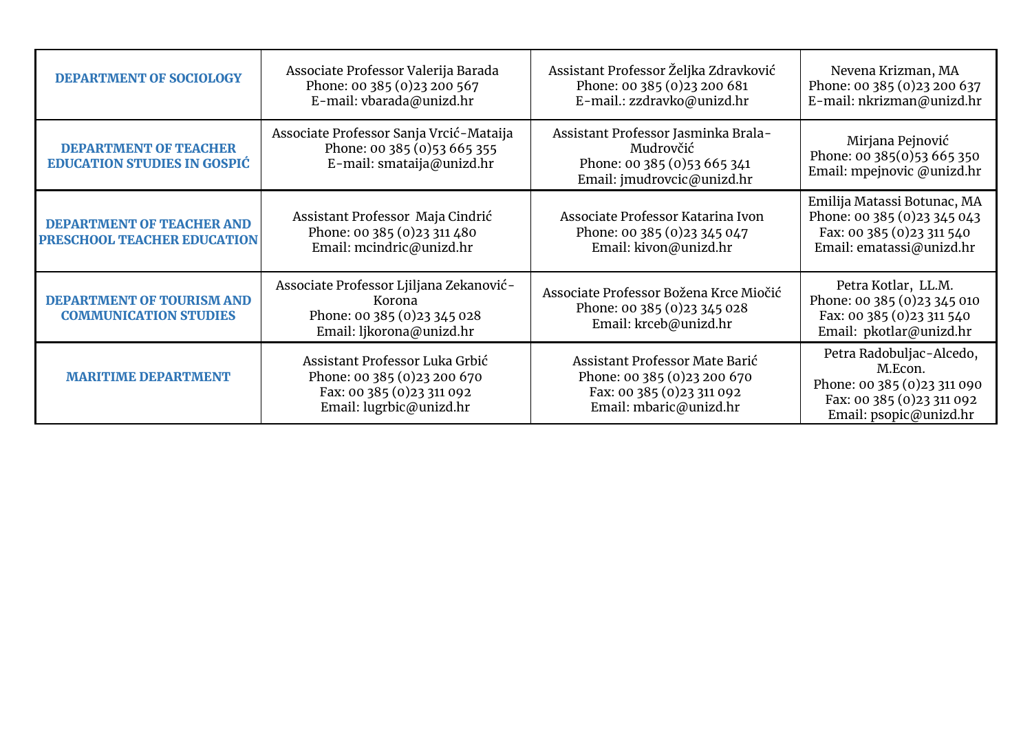| <b>DEPARTMENT OF SOCIOLOGY</b>                                     | Associate Professor Valerija Barada<br>Phone: 00 385 (0) 23 200 567<br>E-mail: vbarada@unizd.hr                         | Assistant Professor Željka Zdravković<br>Phone: 00 385 (0) 23 200 681<br>E-mail.: zzdravko@unizd.hr                    | Nevena Krizman, MA<br>Phone: 00 385 (0) 23 200 637<br>E-mail: nkrizman@unizd.hr                                             |
|--------------------------------------------------------------------|-------------------------------------------------------------------------------------------------------------------------|------------------------------------------------------------------------------------------------------------------------|-----------------------------------------------------------------------------------------------------------------------------|
| <b>DEPARTMENT OF TEACHER</b><br><b>EDUCATION STUDIES IN GOSPIC</b> | Associate Professor Sanja Vrcić-Mataija<br>Phone: 00 385 (0) 53 665 355<br>E-mail: smataija@unizd.hr                    | Assistant Professor Jasminka Brala-<br>Mudrovčić<br>Phone: 00 385 (0) 53 665 341<br>Email: jmudrovcic@unizd.hr         | Mirjana Pejnović<br>Phone: 00 385(0)53 665 350<br>Email: mpejnovic @unizd.hr                                                |
| DEPARTMENT OF TEACHER AND<br>PRESCHOOL TEACHER EDUCATION           | Assistant Professor Maja Cindrić<br>Phone: 00 385 (0) 23 311 480<br>Email: mcindric@unizd.hr                            | Associate Professor Katarina Ivon<br>Phone: 00 385 (0) 23 345 047<br>Email: kivon@unizd.hr                             | Emilija Matassi Botunac, MA<br>Phone: 00 385 (0) 23 345 043<br>Fax: 00 385 (0) 23 311 540<br>Email: ematassi@unizd.hr       |
| DEPARTMENT OF TOURISM AND<br><b>COMMUNICATION STUDIES</b>          | Associate Professor Ljiljana Zekanović-<br>Korona<br>Phone: 00 385 (0) 23 345 028<br>Email: ljkorona@unizd.hr           | Associate Professor Božena Krce Miočić<br>Phone: 00 385 (0) 23 345 028<br>Email: krceb@unizd.hr                        | Petra Kotlar, LL.M.<br>Phone: 00 385 (0) 23 345 010<br>Fax: 00 385 (0) 23 311 540<br>Email: pkotlar@unizd.hr                |
| <b>MARITIME DEPARTMENT</b>                                         | Assistant Professor Luka Grbić<br>Phone: 00 385 (0) 23 200 670<br>Fax: 00 385 (0) 23 311 092<br>Email: lugrbic@unizd.hr | Assistant Professor Mate Barić<br>Phone: 00 385 (0) 23 200 670<br>Fax: 00 385 (0) 23 311 092<br>Email: mbaric@unizd.hr | Petra Radobuljac-Alcedo,<br>M.Econ.<br>Phone: 00 385 (0) 23 311 090<br>Fax: 00 385 (0) 23 311 092<br>Email: psopic@unizd.hr |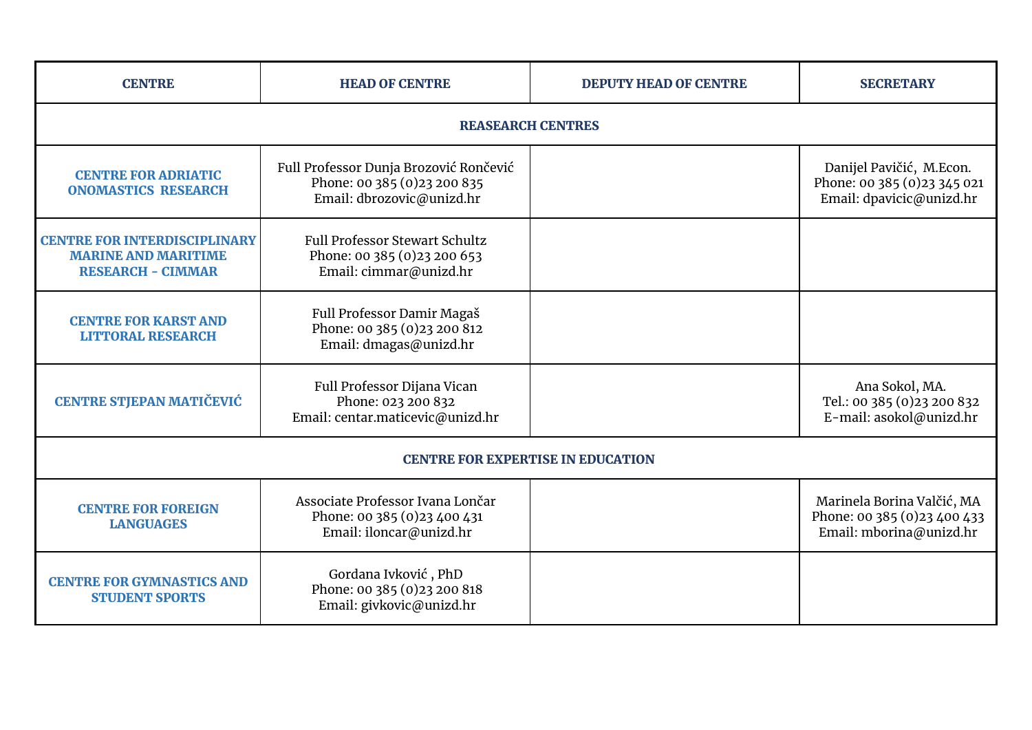| <b>CENTRE</b>                                                                                 | <b>HEAD OF CENTRE</b>                                                                               | <b>DEPUTY HEAD OF CENTRE</b> | <b>SECRETARY</b>                                                                      |
|-----------------------------------------------------------------------------------------------|-----------------------------------------------------------------------------------------------------|------------------------------|---------------------------------------------------------------------------------------|
| <b>REASEARCH CENTRES</b>                                                                      |                                                                                                     |                              |                                                                                       |
| <b>CENTRE FOR ADRIATIC</b><br><b>ONOMASTICS RESEARCH</b>                                      | Full Professor Dunja Brozović Rončević<br>Phone: 00 385 (0) 23 200 835<br>Email: dbrozovic@unizd.hr |                              | Danijel Pavičić, M.Econ.<br>Phone: 00 385 (0) 23 345 021<br>Email: dpavicic@unizd.hr  |
| <b>CENTRE FOR INTERDISCIPLINARY</b><br><b>MARINE AND MARITIME</b><br><b>RESEARCH - CIMMAR</b> | <b>Full Professor Stewart Schultz</b><br>Phone: 00 385 (0) 23 200 653<br>Email: cimmar@unizd.hr     |                              |                                                                                       |
| <b>CENTRE FOR KARST AND</b><br><b>LITTORAL RESEARCH</b>                                       | Full Professor Damir Magaš<br>Phone: 00 385 (0)23 200 812<br>Email: dmagas@unizd.hr                 |                              |                                                                                       |
| <b>CENTRE STJEPAN MATIČEVIĆ</b>                                                               | Full Professor Dijana Vican<br>Phone: 023 200 832<br>Email: centar.maticevic@unizd.hr               |                              | Ana Sokol, MA.<br>Tel.: 00 385 (0)23 200 832<br>E-mail: asokol@unizd.hr               |
| <b>CENTRE FOR EXPERTISE IN EDUCATION</b>                                                      |                                                                                                     |                              |                                                                                       |
| <b>CENTRE FOR FOREIGN</b><br><b>LANGUAGES</b>                                                 | Associate Professor Ivana Lončar<br>Phone: 00 385 (0)23 400 431<br>Email: iloncar@unizd.hr          |                              | Marinela Borina Valčić, MA<br>Phone: 00 385 (0) 23 400 433<br>Email: mborina@unizd.hr |
| <b>CENTRE FOR GYMNASTICS AND</b><br><b>STUDENT SPORTS</b>                                     | Gordana Ivković, PhD<br>Phone: 00 385 (0)23 200 818<br>Email: givkovic@unizd.hr                     |                              |                                                                                       |